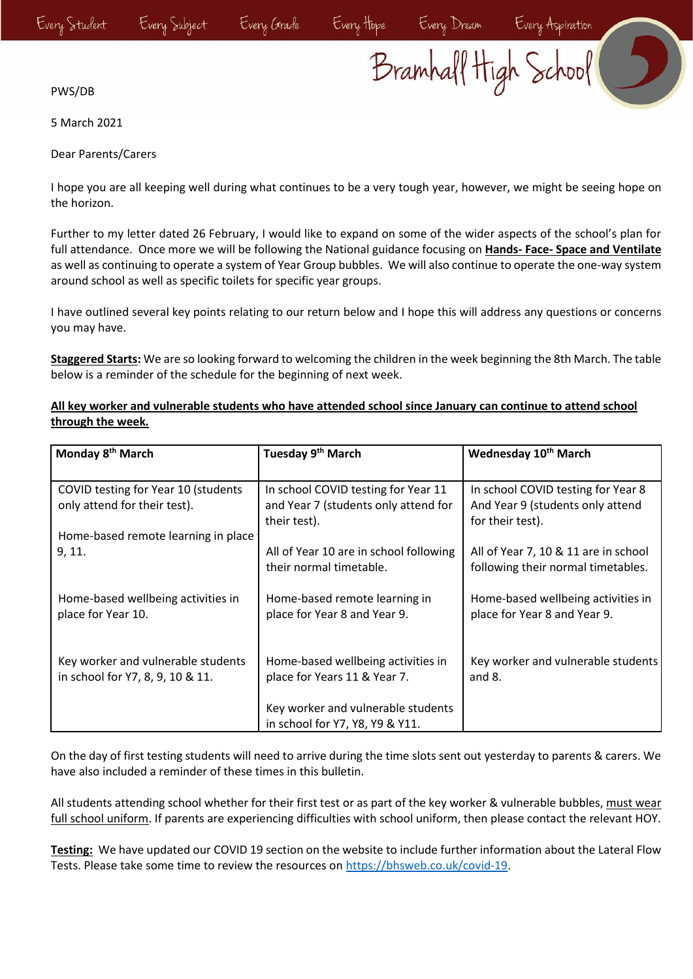Every Hope Every Dream Every Aspiration<br>Bramhall High School

PWS/DB

5 March 2021

Dear Parents/Carers

I hope you are all keeping well during what continues to be a very tough year, however, we might be seeing hope on the horizon.

Further to my letter dated 26 February, I would like to expand on some of the wider aspects of the school's plan for full attendance. Once more we will be following the National guidance focusing on **Hands- Face- Space and Ventilate** as well as continuing to operate a system of Year Group bubbles. We will also continue to operate the one-way system around school as well as specific toilets for specific year groups.

I have outlined several key points relating to our return below and I hope this will address any questions or concerns you may have.

**Staggered Starts:** We are so looking forward to welcoming the children in the week beginning the 8th March. The table below is a reminder of the schedule for the beginning of next week.

| Monday 8 <sup>th</sup> March                             | Tuesday 9 <sup>th</sup> March                                     | Wednesday 10 <sup>th</sup> March                                           |
|----------------------------------------------------------|-------------------------------------------------------------------|----------------------------------------------------------------------------|
|                                                          |                                                                   |                                                                            |
| COVID testing for Year 10 (students                      | In school COVID testing for Year 11                               | In school COVID testing for Year 8                                         |
| only attend for their test).                             | and Year 7 (students only attend for                              | And Year 9 (students only attend                                           |
|                                                          | their test).                                                      | for their test).                                                           |
| Home-based remote learning in place                      |                                                                   |                                                                            |
| 9, 11.                                                   | All of Year 10 are in school following<br>their normal timetable. | All of Year 7, 10 & 11 are in school<br>following their normal timetables. |
| Home-based wellbeing activities in<br>place for Year 10. | Home-based remote learning in<br>place for Year 8 and Year 9.     | Home-based wellbeing activities in<br>place for Year 8 and Year 9.         |
|                                                          |                                                                   |                                                                            |
| Key worker and vulnerable students                       | Home-based wellbeing activities in                                | Key worker and vulnerable students                                         |
| in school for Y7, 8, 9, 10 & 11.                         | place for Years 11 & Year 7.                                      | and $8.$                                                                   |
|                                                          | Key worker and vulnerable students                                |                                                                            |
|                                                          | in school for Y7, Y8, Y9 & Y11.                                   |                                                                            |

## **All key worker and vulnerable students who have attended school since January can continue to attend school through the week.**

On the day of first testing students will need to arrive during the time slots sent out yesterday to parents & carers. We have also included a reminder of these times in this bulletin.

All students attending school whether for their first test or as part of the key worker & vulnerable bubbles, must wear full school uniform. If parents are experiencing difficulties with school uniform, then please contact the relevant HOY.

**Testing:** We have updated our COVID 19 section on the website to include further information about the Lateral Flow Tests. Please take some time to review the resources on [https://bhsweb.co.uk/covid-19.](https://bhsweb.co.uk/covid-19)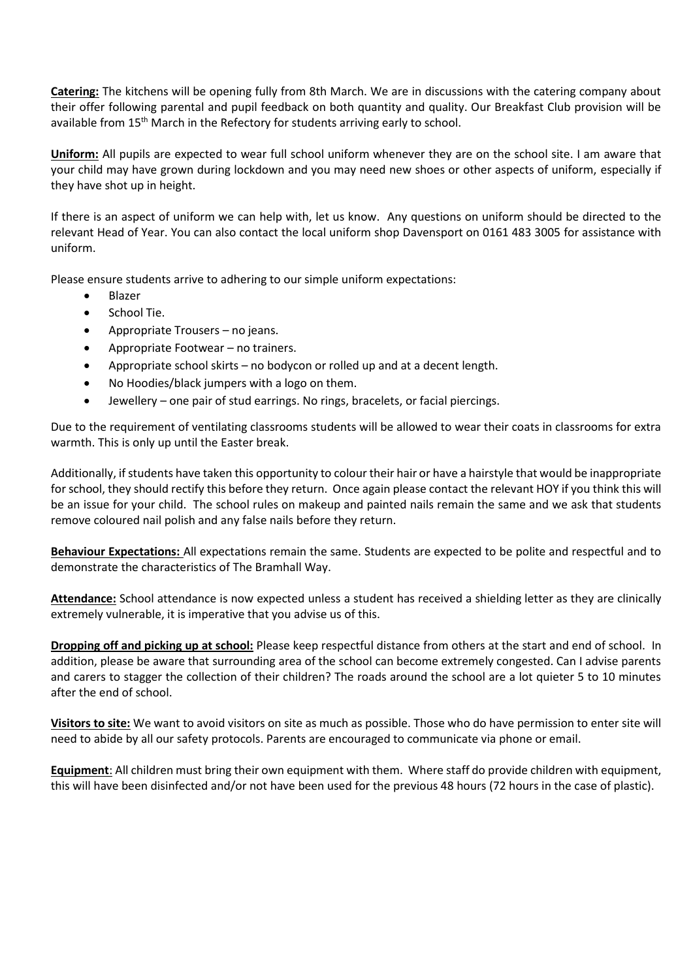**Catering:** The kitchens will be opening fully from 8th March. We are in discussions with the catering company about their offer following parental and pupil feedback on both quantity and quality. Our Breakfast Club provision will be available from 15<sup>th</sup> March in the Refectory for students arriving early to school.

**Uniform:** All pupils are expected to wear full school uniform whenever they are on the school site. I am aware that your child may have grown during lockdown and you may need new shoes or other aspects of uniform, especially if they have shot up in height.

If there is an aspect of uniform we can help with, let us know. Any questions on uniform should be directed to the relevant Head of Year. You can also contact the local uniform shop Davensport on 0161 483 3005 for assistance with uniform.

Please ensure students arrive to adhering to our simple uniform expectations:

- Blazer
- School Tie.
- Appropriate Trousers no jeans.
- Appropriate Footwear no trainers.
- Appropriate school skirts no bodycon or rolled up and at a decent length.
- No Hoodies/black jumpers with a logo on them.
- Jewellery one pair of stud earrings. No rings, bracelets, or facial piercings.

Due to the requirement of ventilating classrooms students will be allowed to wear their coats in classrooms for extra warmth. This is only up until the Easter break.

Additionally, if students have taken this opportunity to colour their hair or have a hairstyle that would be inappropriate for school, they should rectify this before they return. Once again please contact the relevant HOY if you think this will be an issue for your child. The school rules on makeup and painted nails remain the same and we ask that students remove coloured nail polish and any false nails before they return.

**Behaviour Expectations:** All expectations remain the same. Students are expected to be polite and respectful and to demonstrate the characteristics of The Bramhall Way.

**Attendance:** School attendance is now expected unless a student has received a shielding letter as they are clinically extremely vulnerable, it is imperative that you advise us of this.

**Dropping off and picking up at school:** Please keep respectful distance from others at the start and end of school. In addition, please be aware that surrounding area of the school can become extremely congested. Can I advise parents and carers to stagger the collection of their children? The roads around the school are a lot quieter 5 to 10 minutes after the end of school.

**Visitors to site:** We want to avoid visitors on site as much as possible. Those who do have permission to enter site will need to abide by all our safety protocols. Parents are encouraged to communicate via phone or email.

**Equipment**: All children must bring their own equipment with them. Where staff do provide children with equipment, this will have been disinfected and/or not have been used for the previous 48 hours (72 hours in the case of plastic).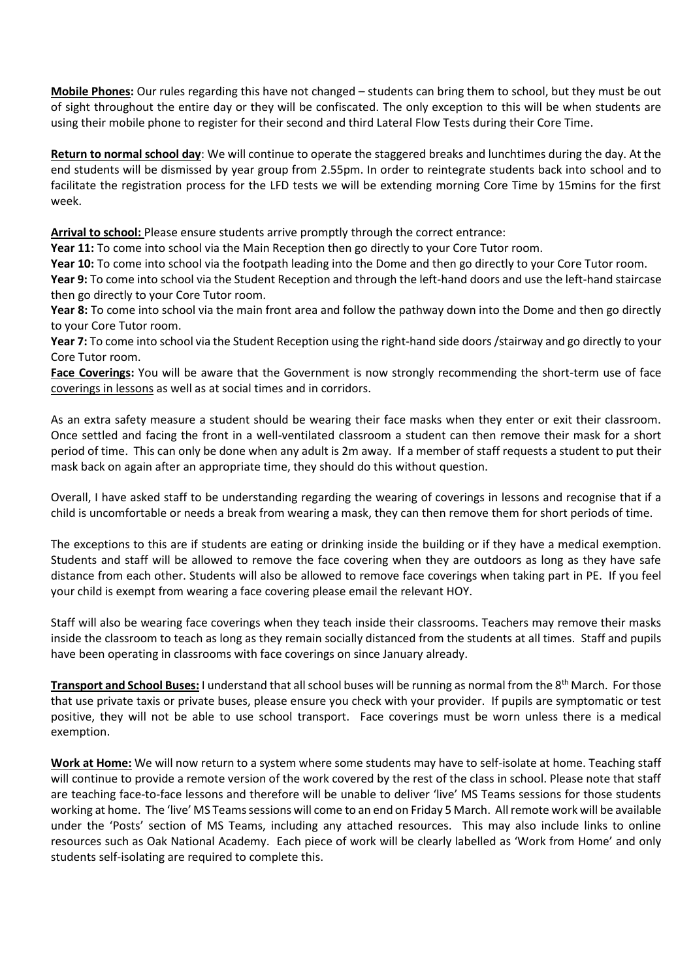**Mobile Phones:** Our rules regarding this have not changed – students can bring them to school, but they must be out of sight throughout the entire day or they will be confiscated. The only exception to this will be when students are using their mobile phone to register for their second and third Lateral Flow Tests during their Core Time.

**Return to normal school day**: We will continue to operate the staggered breaks and lunchtimes during the day. At the end students will be dismissed by year group from 2.55pm. In order to reintegrate students back into school and to facilitate the registration process for the LFD tests we will be extending morning Core Time by 15mins for the first week.

**Arrival to school:** Please ensure students arrive promptly through the correct entrance:

**Year 11:** To come into school via the Main Reception then go directly to your Core Tutor room.

**Year 10:** To come into school via the footpath leading into the Dome and then go directly to your Core Tutor room.

**Year 9:** To come into school via the Student Reception and through the left-hand doors and use the left-hand staircase then go directly to your Core Tutor room.

**Year 8:** To come into school via the main front area and follow the pathway down into the Dome and then go directly to your Core Tutor room.

**Year 7:** To come into school via the Student Reception using the right-hand side doors /stairway and go directly to your Core Tutor room.

**Face Coverings:** You will be aware that the Government is now strongly recommending the short-term use of face coverings in lessons as well as at social times and in corridors.

As an extra safety measure a student should be wearing their face masks when they enter or exit their classroom. Once settled and facing the front in a well-ventilated classroom a student can then remove their mask for a short period of time. This can only be done when any adult is 2m away. If a member of staff requests a student to put their mask back on again after an appropriate time, they should do this without question.

Overall, I have asked staff to be understanding regarding the wearing of coverings in lessons and recognise that if a child is uncomfortable or needs a break from wearing a mask, they can then remove them for short periods of time.

The exceptions to this are if students are eating or drinking inside the building or if they have a medical exemption. Students and staff will be allowed to remove the face covering when they are outdoors as long as they have safe distance from each other. Students will also be allowed to remove face coverings when taking part in PE. If you feel your child is exempt from wearing a face covering please email the relevant HOY.

Staff will also be wearing face coverings when they teach inside their classrooms. Teachers may remove their masks inside the classroom to teach as long as they remain socially distanced from the students at all times. Staff and pupils have been operating in classrooms with face coverings on since January already.

**Transport and School Buses:** I understand that all school buses will be running as normal from the 8th March. For those that use private taxis or private buses, please ensure you check with your provider. If pupils are symptomatic or test positive, they will not be able to use school transport. Face coverings must be worn unless there is a medical exemption.

**Work at Home:** We will now return to a system where some students may have to self-isolate at home. Teaching staff will continue to provide a remote version of the work covered by the rest of the class in school. Please note that staff are teaching face-to-face lessons and therefore will be unable to deliver 'live' MS Teams sessions for those students working at home. The 'live' MS Teams sessions will come to an end on Friday 5 March. All remote work will be available under the 'Posts' section of MS Teams, including any attached resources. This may also include links to online resources such as Oak National Academy. Each piece of work will be clearly labelled as 'Work from Home' and only students self-isolating are required to complete this.